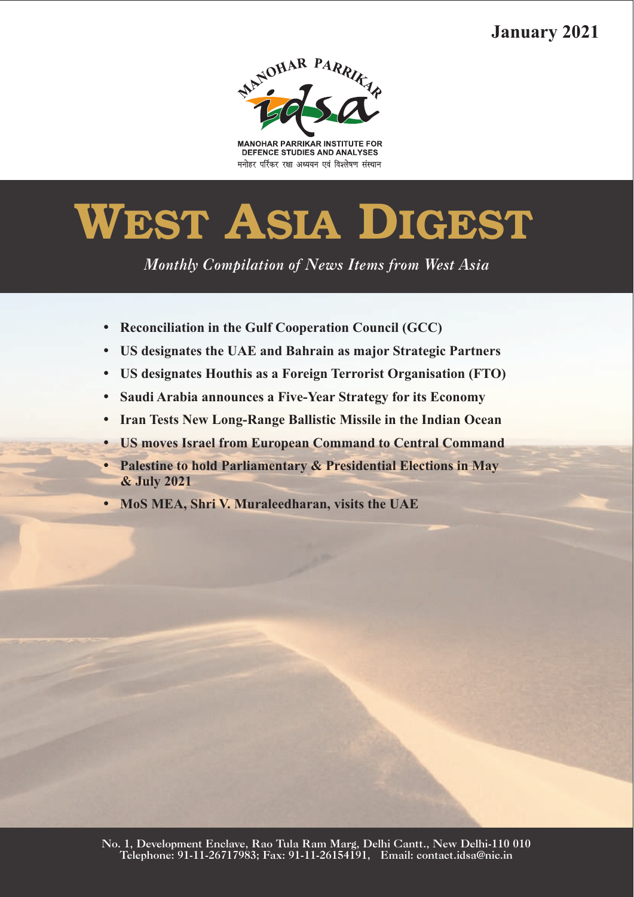# **January 2021**



**MANOHAR PARRIKAR INSTITUTE FOR** DEFENCE STUDIES AND ANALYSES मनोहर पर्रिकर रक्षा अध्ययन एवं विश्लेषण संस्थान

# **WEST ASIA DIGEST**

*Monthly Compilation of News Items from West Asia* 

- 
- Reconciliation in the Gulf Cooperation Council (GCC)<br>• US designates the UAE and Bahrain as major Strategic Partners
- ?**US designates the UAE and Bahrain as major Strategic Partners**
- ?**US designates Houthis as a Foreign Terrorist Organisation (FTO)** ?**Saudi Arabia announces a Five-Year Strategy for its Economy**
- 
- **IIS moves Israel from European Command to Central Command**
- ?**US moves Israel from European Command to Central Command Palestine to hold Parliamentary & Presidential Elections in May**
- ?**& July 2021 MoS MEA, Shri V. Muraleedharan, visits the UAE**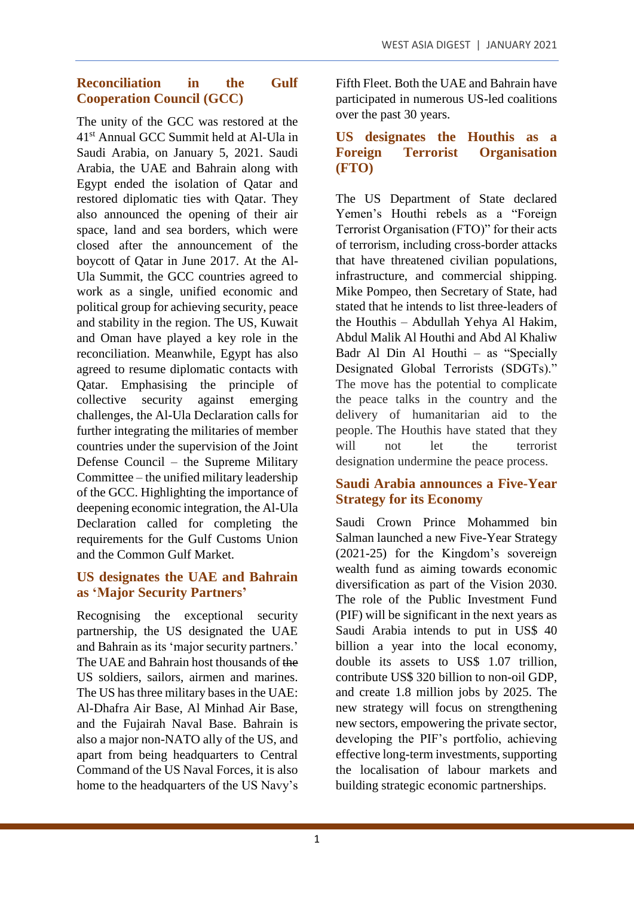# **Reconciliation in the Gulf Cooperation Council (GCC)**

The unity of the GCC was restored at the 41st Annual GCC Summit held at Al-Ula in Saudi Arabia, on January 5, 2021. Saudi Arabia, the UAE and Bahrain along with Egypt ended the isolation of Qatar and restored diplomatic ties with Qatar. They also announced the opening of their air space, land and sea borders, which were closed after the announcement of the boycott of Qatar in June 2017. At the Al-Ula Summit, the GCC countries agreed to work as a single, unified economic and political group for achieving security, peace and stability in the region. The US, Kuwait and Oman have played a key role in the reconciliation. Meanwhile, Egypt has also agreed to resume diplomatic contacts with Qatar. Emphasising the principle of collective security against emerging challenges, the Al-Ula Declaration calls for further integrating the militaries of member countries under the supervision of the Joint Defense Council – the Supreme Military Committee – the unified military leadership of the GCC. Highlighting the importance of deepening economic integration, the Al-Ula Declaration called for completing the requirements for the Gulf Customs Union and the Common Gulf Market.

# **US designates the UAE and Bahrain as 'Major Security Partners'**

Recognising the exceptional security partnership, the US designated the UAE and Bahrain as its 'major security partners.' The UAE and Bahrain host thousands of the US soldiers, sailors, airmen and marines. The US has three military bases in the UAE: Al-Dhafra Air Base, Al Minhad Air Base, and the Fujairah Naval Base. Bahrain is also a major non-NATO ally of the US, and apart from being headquarters to Central Command of the US Naval Forces, it is also home to the headquarters of the US Navy's Fifth Fleet. Both the UAE and Bahrain have participated in numerous US-led coalitions over the past 30 years.

#### **US designates the Houthis as a Foreign Terrorist Organisation (FTO)**

The US Department of State declared Yemen's Houthi rebels as a "Foreign Terrorist Organisation (FTO)" for their acts of terrorism, including cross-border attacks that have threatened civilian populations, infrastructure, and commercial shipping. Mike Pompeo, then Secretary of State, had stated that he intends to list three-leaders of the Houthis – Abdullah Yehya Al Hakim, Abdul Malik Al Houthi and Abd Al Khaliw Badr Al Din Al Houthi – as "Specially Designated Global Terrorists (SDGTs)." The move has the potential to complicate the peace talks in the country and the delivery of humanitarian aid to the people. The Houthis have stated that they will not let the terrorist designation undermine the peace process.

#### **Saudi Arabia announces a Five-Year Strategy for its Economy**

Saudi Crown Prince Mohammed bin Salman launched a new Five-Year Strategy (2021-25) for the Kingdom's sovereign wealth fund as aiming towards economic diversification as part of the Vision 2030. The role of the Public Investment Fund (PIF) will be significant in the next years as Saudi Arabia intends to put in US\$ 40 billion a year into the local economy, double its assets to US\$ 1.07 trillion, contribute US\$ 320 billion to non-oil GDP, and create 1.8 million jobs by 2025. The new strategy will focus on strengthening new sectors, empowering the private sector, developing the PIF's portfolio, achieving effective long-term investments, supporting the localisation of labour markets and building strategic economic partnerships.